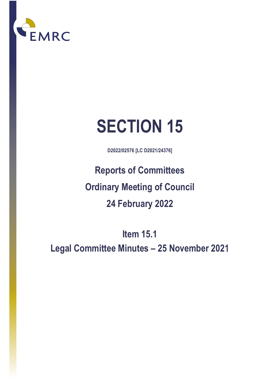

# **SECTION 15**

**D2022/02576 [LC D2021/24376]**

**Reports of Committees Ordinary Meeting of Council 24 February 2022**

**Item 15.1** 

**Legal Committee Minutes – 25 November 202**1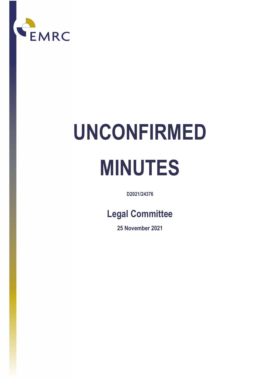

# **UNCONFIRMED MINUTES**

**D2021/24376** 

## **Legal Committee**

**25 November 2021**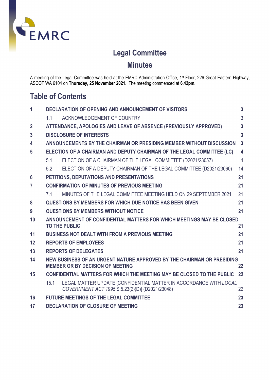

### **Legal Committee**

**Minutes**

A meeting of the Legal Committee was held at the EMRC Administration Office, 1<sup>st</sup> Floor, 226 Great Eastern Highway, ASCOT WA 6104 on **Thursday, 25 November 2021.** The meeting commenced at **6.42pm.**

### **Table of Contents**

| 1               | <b>DECLARATION OF OPENING AND ANNOUNCEMENT OF VISITORS</b>                                                                   | $\overline{3}$          |
|-----------------|------------------------------------------------------------------------------------------------------------------------------|-------------------------|
|                 | 1.1<br>ACKNOWLEDGEMENT OF COUNTRY                                                                                            | 3                       |
| $\overline{2}$  | ATTENDANCE, APOLOGIES AND LEAVE OF ABSENCE (PREVIOUSLY APPROVED)                                                             | $\overline{3}$          |
| $\overline{3}$  | <b>DISCLOSURE OF INTERESTS</b>                                                                                               | $\overline{3}$          |
| 4               | ANNOUNCEMENTS BY THE CHAIRMAN OR PRESIDING MEMBER WITHOUT DISCUSSION                                                         | $\overline{3}$          |
| 5               | ELECTION OF A CHAIRMAN AND DEPUTY CHAIRMAN OF THE LEGAL COMMITTEE (LC)                                                       | $\overline{\mathbf{4}}$ |
|                 | ELECTION OF A CHAIRMAN OF THE LEGAL COMMITTEE (D2021/23057)<br>51                                                            | $\overline{4}$          |
|                 | ELECTION OF A DEPUTY CHAIRMAN OF THE LEGAL COMMITTEE (D2021/23060)<br>5.2                                                    | 14                      |
| $6\phantom{1}6$ | PETITIONS, DEPUTATIONS AND PRESENTATIONS                                                                                     | 21                      |
| $\overline{7}$  | <b>CONFIRMATION OF MINUTES OF PREVIOUS MEETING</b>                                                                           | 21                      |
|                 | MINUTES OF THE LEGAL COMMITTEE MEETING HELD ON 29 SEPTEMBER 2021<br>7.1                                                      | 21                      |
| 8               | <b>QUESTIONS BY MEMBERS FOR WHICH DUE NOTICE HAS BEEN GIVEN</b>                                                              | 21                      |
| 9               | <b>QUESTIONS BY MEMBERS WITHOUT NOTICE</b>                                                                                   | 21                      |
| 10              | ANNOUNCEMENT OF CONFIDENTIAL MATTERS FOR WHICH MEETINGS MAY BE CLOSED                                                        |                         |
|                 | <b>TO THE PUBLIC</b>                                                                                                         | 21                      |
| 11              | <b>BUSINESS NOT DEALT WITH FROM A PREVIOUS MEETING</b>                                                                       | 21                      |
| 12              | <b>REPORTS OF EMPLOYEES</b>                                                                                                  | 21                      |
| 13              | <b>REPORTS OF DELEGATES</b>                                                                                                  | 21                      |
| 14              | NEW BUSINESS OF AN URGENT NATURE APPROVED BY THE CHAIRMAN OR PRESIDING<br><b>MEMBER OR BY DECISION OF MEETING</b>            | 22                      |
| 15              | CONFIDENTIAL MATTERS FOR WHICH THE MEETING MAY BE CLOSED TO THE PUBLIC                                                       | 22                      |
|                 | LEGAL MATTER UPDATE [CONFIDENTIAL MATTER IN ACCORDANCE WITH LOCAL<br>15.1<br>GOVERNMENT ACT 1995 S.5.23(2)(D)] (D2021/23048) | 22                      |
| 16              | <b>FUTURE MEETINGS OF THE LEGAL COMMITTEE</b>                                                                                | 23                      |
| 17              | <b>DECLARATION OF CLOSURE OF MEETING</b>                                                                                     | 23                      |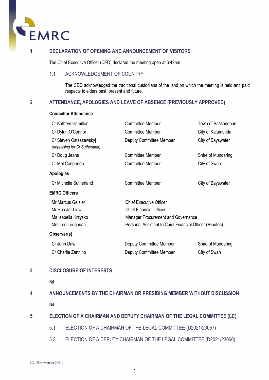

<span id="page-3-0"></span>The Chief Executive Officer (CEO) declared the meeting open at 6:42pm.

#### <span id="page-3-1"></span>1.1 ACKNOWLEDGEMENT OF COUNTRY

The CEO acknowledged the traditional custodians of the land on which the meeting is held and paid respects to elders past, present and future.

#### <span id="page-3-2"></span>**2 ATTENDANCE, APOLOGIES AND LEAVE OF ABSENCE (PREVIOUSLY APPROVED)**

#### **Councillor Attendance**

| Cr Kathryn Hamilton                                      | <b>Committee Member</b>                                 | Town of Bassendean |
|----------------------------------------------------------|---------------------------------------------------------|--------------------|
| Cr Dylan O'Connor                                        | <b>Committee Member</b>                                 | City of Kalamunda  |
| Cr Steven Ostaszewskyj<br>(deputising for Cr Sutherland) | <b>Deputy Committee Member</b>                          | City of Bayswater  |
| Cr Doug Jeans                                            | <b>Committee Member</b>                                 | Shire of Mundaring |
| Cr Mel Congerton                                         | <b>Committee Member</b>                                 | City of Swan       |
| Apologies                                                |                                                         |                    |
| Cr Michelle Sutherland                                   | <b>Committee Member</b>                                 | City of Bayswater  |
| <b>EMRC Officers</b>                                     |                                                         |                    |
| Mr Marcus Geisler                                        | <b>Chief Executive Officer</b>                          |                    |
| Mr Hua Jer Liew                                          | <b>Chief Financial Officer</b>                          |                    |
| Ms Izabella Krzysko                                      | Manager Procurement and Governance                      |                    |
| Mrs Lee Loughnan                                         | Personal Assistant to Chief Financial Officer (Minutes) |                    |
| Observer(s)                                              |                                                         |                    |
| Cr John Daw                                              | Deputy Committee Member                                 | Shire of Mundaring |
| Cr Charlie Zannino                                       | Deputy Committee Member                                 | City of Swan       |

#### <span id="page-3-3"></span>**3 DISCLOSURE OF INTERESTS**

Nil

### <span id="page-3-4"></span>**4 ANNOUNCEMENTS BY THE CHAIRMAN OR PRESIDING MEMBER WITHOUT DISCUSSION** Nil

#### <span id="page-3-6"></span><span id="page-3-5"></span>**5 ELECTION OF A CHAIRMAN AND DEPUTY CHAIRMAN OF THE LEGAL COMMITTEE (LC)**

- 5.1 ELECTION OF A CHAIRMAN OF THE LEGAL COMMITTEE (D2021/23057)
- <span id="page-3-7"></span>5.2 ELECTION OF A DEPUTY CHAIRMAN OF THE LEGAL COMMITTEE (D2021/23060)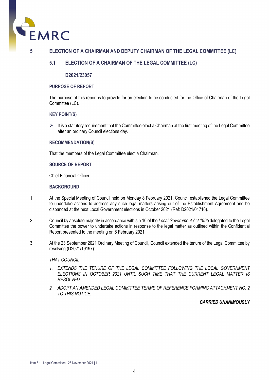

#### **5 ELECTION OF A CHAIRMAN AND DEPUTY CHAIRMAN OF THE LEGAL COMMITTEE (LC)**

#### **5.1 ELECTION OF A CHAIRMAN OF THE LEGAL COMMITTEE (LC)**

#### **D2021/23057**

#### **PURPOSE OF REPORT**

The purpose of this report is to provide for an election to be conducted for the Office of Chairman of the Legal Committee (LC).

#### **KEY POINT(S)**

 $\triangleright$  It is a statutory requirement that the Committee elect a Chairman at the first meeting of the Legal Committee after an ordinary Council elections day.

#### **RECOMMENDATION(S)**

That the members of the Legal Committee elect a Chairman.

#### **SOURCE OF REPORT**

Chief Financial Officer

#### **BACKGROUND**

- 1 At the Special Meeting of Council held on Monday 8 February 2021, Council established the Legal Committee to undertake actions to address any such legal matters arising out of the Establishment Agreement and be disbanded at the next Local Government elections in October 2021 (Ref: D2021/01716).
- 2 Council by absolute majority in accordance with s.5.16 of the *Local Government Act 1995* delegated to the Legal Committee the power to undertake actions in response to the legal matter as outlined within the Confidential Report presented to the meeting on 8 February 2021.
- 3 At the 23 September 2021 Ordinary Meeting of Council, Council extended the tenure of the Legal Committee by resolving (D2021/19197):

#### *THAT COUNCIL:*

- *1. EXTENDS THE TENURE OF THE LEGAL COMMITTEE FOLLOWING THE LOCAL GOVERNMENT*  **ELECTIONS IN OCTOBER 2021 UNTIL SUCH TIME THAT THE CURRENT LEGAL MATTER IS** *RESOLVED.*
- *2. ADOPT AN AMENDED LEGAL COMMITTEE TERMS OF REFERENCE FORMING ATTACHMENT NO. 2 TO THIS NOTICE.*

#### *CARRIED UNANIMOUSLY*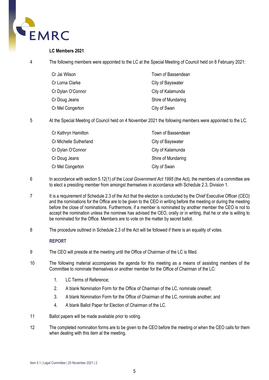

#### **LC Members 2021**

4 The following members were appointed to the LC at the Special Meeting of Council held on 8 February 2021:

| Cr Jai Wilson     | Town of Bassendean |
|-------------------|--------------------|
| Cr Lorna Clarke   | City of Bayswater  |
| Cr Dylan O'Connor | City of Kalamunda  |
| Cr Doug Jeans     | Shire of Mundaring |
| Cr Mel Congerton  | City of Swan       |

5 At the Special Meeting of Council held on 4 November 2021 the following members were appointed to the LC.

| Cr Kathryn Hamilton    | Town of Bassendean |
|------------------------|--------------------|
| Cr Michelle Sutherland | City of Bayswater  |
| Cr Dylan O'Connor      | City of Kalamunda  |
| Cr Doug Jeans          | Shire of Mundaring |
| Cr Mel Congerton       | City of Swan       |

- 6 In accordance with section 5.12(1) of the *Local Government Act 1995* (the Act), the members of a committee are to elect a presiding member from amongst themselves in accordance with Schedule 2.3, Division 1.
- 7 It is a requirement of Schedule 2.3 of the Act that the election is conducted by the Chief Executive Officer (CEO) and the nominations for the Office are to be given to the CEO in writing before the meeting or during the meeting before the close of nominations. Furthermore, if a member is nominated by another member the CEO is not to accept the nomination unless the nominee has advised the CEO, orally or in writing, that he or she is willing to be nominated for the Office. Members are to vote on the matter by secret ballot.
- 8 The procedure outlined in Schedule 2.3 of the Act will be followed if there is an equality of votes.

#### **REPORT**

- 9 The CEO will preside at the meeting until the Office of Chairman of the LC is filled.
- 10 The following material accompanies the agenda for this meeting as a means of assisting members of the Committee to nominate themselves or another member for the Office of Chairman of the LC:
	- 1. LC Terms of Reference:
	- 2. A blank Nomination Form for the Office of Chairman of the LC, nominate oneself;
	- 3. A blank Nomination Form for the Office of Chairman of the LC, nominate another; and
	- 4. A blank Ballot Paper for Election of Chairman of the LC.
- 11 Ballot papers will be made available prior to voting.
- 12 The completed nomination forms are to be given to the CEO before the meeting or when the CEO calls for them when dealing with this item at the meeting.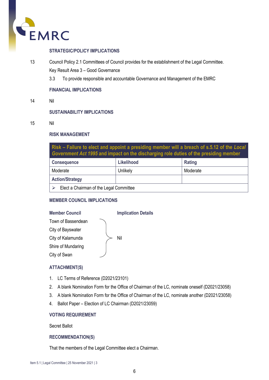

#### **STRATEGIC/POLICY IMPLICATIONS**

- 13 Council Policy 2.1 Committees of Council provides for the establishment of the Legal Committee. Key Result Area 3 – Good Governance
	- 3.3 To provide responsible and accountable Governance and Management of the EMRC

#### **FINANCIAL IMPLICATIONS**

14 Nil

#### **SUSTAINABILITY IMPLICATIONS**

15 Nil

#### **RISK MANAGEMENT**

**Risk – Failure to elect and appoint a presiding member will a breach of s.5.12 of the** *Local Government Act 1995* **and impact on the discharging role duties of the presiding member**

| <b>Consequence</b>                      | Likelihood | Rating   |
|-----------------------------------------|------------|----------|
| Moderate                                | Unlikely   | Moderate |
| <b>Action/Strategy</b>                  |            |          |
| Elect a Chairman of the Legal Committee |            |          |

#### **MEMBER COUNCIL IMPLICATIONS**

| <b>Member Council</b> | <b>Implication Details</b> |
|-----------------------|----------------------------|
| Town of Bassendean    |                            |
| City of Bayswater     |                            |
| City of Kalamunda     | Nil                        |
| Shire of Mundaring    |                            |
| City of Swan          |                            |
|                       |                            |

#### **ATTACHMENT(S)**

- 1. LC Terms of Reference (D2021/23101)
- 2. A blank Nomination Form for the Office of Chairman of the LC, nominate oneself (D2021/23058)
- 3. A blank Nomination Form for the Office of Chairman of the LC, nominate another (D2021/23058)
- 4. Ballot Paper Election of LC Chairman (D2021/23059)

#### **VOTING REQUIREMENT**

Secret Ballot

#### **RECOMMENDATION(S)**

That the members of the Legal Committee elect a Chairman.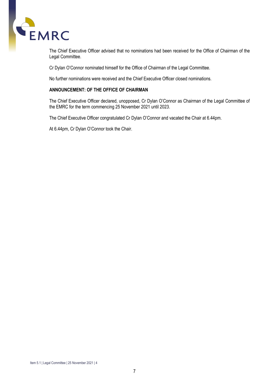

The Chief Executive Officer advised that no nominations had been received for the Office of Chairman of the Legal Committee.

Cr Dylan O'Connor nominated himself for the Office of Chairman of the Legal Committee.

No further nominations were received and the Chief Executive Officer closed nominations.

#### **ANNOUNCEMENT: OF THE OFFICE OF CHAIRMAN**

The Chief Executive Officer declared, unopposed, Cr Dylan O'Connor as Chairman of the Legal Committee of the EMRC for the term commencing 25 November 2021 until 2023.

The Chief Executive Officer congratulated Cr Dylan O'Connor and vacated the Chair at 6.44pm.

At 6.44pm, Cr Dylan O'Connor took the Chair.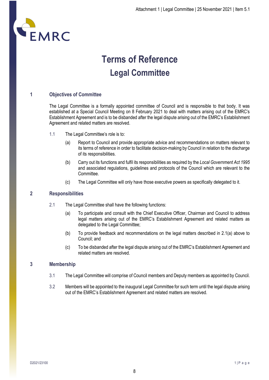

# **Terms of Reference Legal Committee**

#### **1 Objectives of Committee**

The Legal Committee is a formally appointed committee of Council and is responsible to that body. It was established at a Special Council Meeting on 8 February 2021 to deal with matters arising out of the EMRC's Establishment Agreement and is to be disbanded after the legal dispute arising out of the EMRC's Establishment Agreement and related matters are resolved.

- 1.1 The Legal Committee's role is to:
	- (a) Report to Council and provide appropriate advice and recommendations on matters relevant to its terms of reference in order to facilitate decision-making by Council in relation to the discharge of its responsibilities.
	- (b) Carry out its functions and fulfil its responsibilities as required by the *Local Government Act 1995* and associated regulations, guidelines and protocols of the Council which are relevant to the Committee.
	- (c) The Legal Committee will only have those executive powers as specifically delegated to it.

#### **2 Responsibilities**

- 2.1 The Legal Committee shall have the following functions:
	- (a) To participate and consult with the Chief Executive Officer, Chairman and Council to address legal matters arising out of the EMRC's Establishment Agreement and related matters as delegated to the Legal Committee;
	- (b) To provide feedback and recommendations on the legal matters described in 2.1(a) above to Council; and
	- (c) To be disbanded after the legal dispute arising out of the EMRC's Establishment Agreement and related matters are resolved.

#### **3 Membership**

- 3.1 The Legal Committee will comprise of Council members and Deputy members as appointed by Council.
- 3.2 Members will be appointed to the inaugural Legal Committee for such term until the legal dispute arising out of the EMRC's Establishment Agreement and related matters are resolved.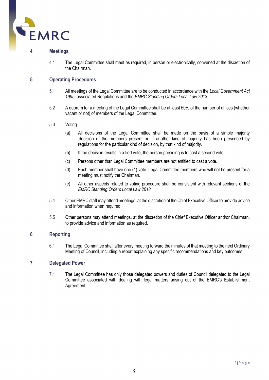

#### **4 Meetings**

4.1 The Legal Committee shall meet as required, in person or electronically, convened at the discretion of the Chairman.

#### **5 Operating Procedures**

- 5.1 All meetings of the Legal Committee are to be conducted in accordance with the *Local Government Act 1995*, associated Regulations and the *EMRC Standing Orders Local Law 2013*.
- 5.2 A quorum for a meeting of the Legal Committee shall be at least 50% of the number of offices (whether vacant or not) of members of the Legal Committee.

#### 5.3 Voting

- (a) All decisions of the Legal Committee shall be made on the basis of a simple majority decision of the members present or, if another kind of majority has been prescribed by regulations for the particular kind of decision, by that kind of majority.
- (b) If the decision results in a tied vote, the person presiding is to cast a second vote.
- (c) Persons other than Legal Committee members are not entitled to cast a vote.
- (d) Each member shall have one (1) vote. Legal Committee members who will not be present for a meeting must notify the Chairman.
- (e) All other aspects related to voting procedure shall be consistent with relevant sections of the *EMRC Standing Orders Local Law 2013.*
- 5.4 Other EMRC staff may attend meetings, at the discretion of the Chief Executive Officer to provide advice and information when required.
- 5.5 Other persons may attend meetings, at the discretion of the Chief Executive Officer and/or Chairman, to provide advice and information as required.

#### **6 Reporting**

6.1 The Legal Committee shall after every meeting forward the minutes of that meeting to the next Ordinary Meeting of Council, including a report explaining any specific recommendations and key outcomes.

#### **7 Delegated Power**

7.1 The Legal Committee has only those delegated powers and duties of Council delegated to the Legal Committee associated with dealing with legal matters arising out of the EMRC's Establishment Agreement.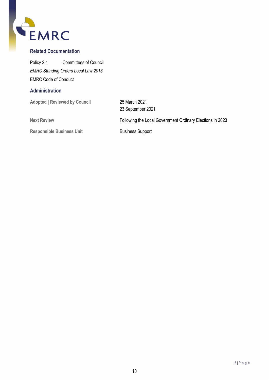

#### **Related Documentation**

Policy 2.1 Committees of Council *EMRC Standing Orders Local Law 2013* EMRC Code of Conduct

#### **Administration**

**Adopted | Reviewed by Council** 25 March 2021

**Responsible Business Unit** Business Support

23 September 2021 **Next Review** Following the Local Government Ordinary Elections in 2023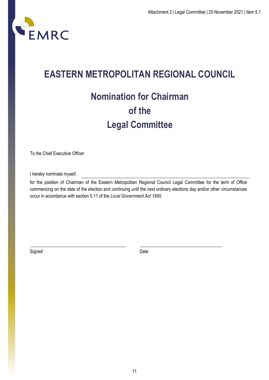

## **EASTERN METROPOLITAN REGIONAL COUNCIL**

# **Nomination for Chairman of the Legal Committee**

To the Chief Executive Officer

I hereby nominate myself,

for the position of Chairman of the Eastern Metropolitan Regional Council Legal Committee for the term of Office commencing on the date of the election and continuing until the next ordinary elections day and/or other circumstances occur in accordance with section 5.11 of the *Local Government Act 1995*.

Signed Date **Date**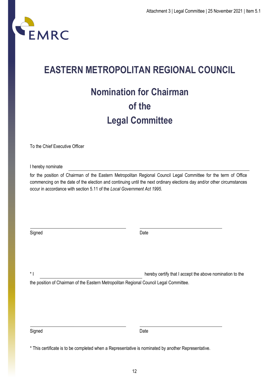

# **EASTERN METROPOLITAN REGIONAL COUNCIL**

# **Nomination for Chairman of the Legal Committee**

To the Chief Executive Officer

I hereby nominate

for the position of Chairman of the Eastern Metropolitan Regional Council Legal Committee for the term of Office commencing on the date of the election and continuing until the next ordinary elections day and/or other circumstances occur in accordance with section 5.11 of the *Local Government Act 1995*.

Signed **Date** 

\* I hereby certify that I accept the above nomination to the

the position of Chairman of the Eastern Metropolitan Regional Council Legal Committee.

Signed Date **Date** 

<sup>\*</sup> This certificate is to be completed when a Representative is nominated by another Representative.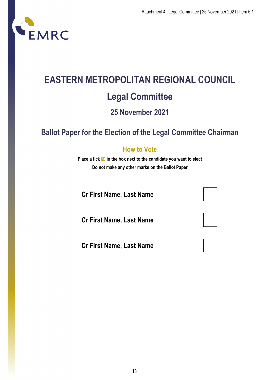

# **EASTERN METROPOLITAN REGIONAL COUNCIL Legal Committee 25 November 2021**

### **Ballot Paper for the Election of the Legal Committee Chairman**

### **How to Vote**

**Place a tick**  $\blacksquare$  **in the box next to the candidate you want to elect Do not make any other marks on the Ballot Paper**

**Cr First Name, Last Name**

**Cr First Name, Last Name**

**Cr First Name, Last Name**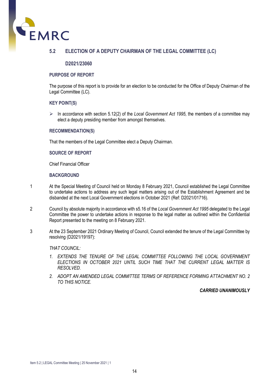

#### **5.2 ELECTION OF A DEPUTY CHAIRMAN OF THE LEGAL COMMITTEE (LC)**

#### **D2021/23060**

#### **PURPOSE OF REPORT**

The purpose of this report is to provide for an election to be conducted for the Office of Deputy Chairman of the Legal Committee (LC).

#### **KEY POINT(S)**

 $\triangleright$  In accordance with section 5.12(2) of the *Local Government Act 1995*, the members of a committee may elect a deputy presiding member from amongst themselves.

#### **RECOMMENDATION(S)**

That the members of the Legal Committee elect a Deputy Chairman.

#### **SOURCE OF REPORT**

Chief Financial Officer

#### **BACKGROUND**

- 1 At the Special Meeting of Council held on Monday 8 February 2021, Council established the Legal Committee to undertake actions to address any such legal matters arising out of the Establishment Agreement and be disbanded at the next Local Government elections in October 2021 (Ref: D2021/01716).
- 2 Council by absolute majority in accordance with s5.16 of the *Local Government Act 1995* delegated to the Legal Committee the power to undertake actions in response to the legal matter as outlined within the Confidential Report presented to the meeting on 8 February 2021.
- 3 At the 23 September 2021 Ordinary Meeting of Council, Council extended the tenure of the Legal Committee by resolving (D2021/19197):

*THAT COUNCIL:*

- *1. EXTENDS THE TENURE OF THE LEGAL COMMITTEE FOLLOWING THE LOCAL GOVERNMENT ELECTIONS IN OCTOBER 2021 UNTIL SUCH TIME THAT THE CURRENT LEGAL MATTER IS RESOLVED.*
- *2. ADOPT AN AMENDED LEGAL COMMITTEE TERMS OF REFERENCE FORMING ATTACHMENT NO. 2 TO THIS NOTICE.*

#### *CARRIED UNANIMOUSLY*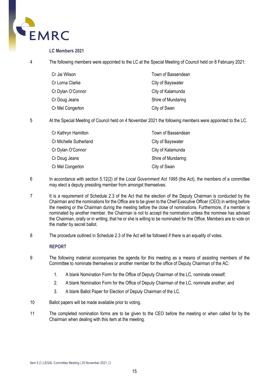

#### **LC Members 2021**

4 The following members were appointed to the LC at the Special Meeting of Council held on 8 February 2021:

| Cr Jai Wilson     | Town of Bassendean |
|-------------------|--------------------|
| Cr Lorna Clarke   | City of Bayswater  |
| Cr Dylan O'Connor | City of Kalamunda  |
| Cr Doug Jeans     | Shire of Mundaring |
| Cr Mel Congerton  | City of Swan       |

5 At the Special Meeting of Council held on 4 November 2021 the following members were appointed to the LC.

| Cr Kathryn Hamilton    | Town of Bassendean |
|------------------------|--------------------|
| Cr Michelle Sutherland | City of Bayswater  |
| Cr Dylan O'Connor      | City of Kalamunda  |
| Cr Doug Jeans          | Shire of Mundaring |
| Cr Mel Congerton       | City of Swan       |

- 6 In accordance with section 5.12(2) of the *Local Government Act 1995* (the Act), the members of a committee may elect a deputy presiding member from amongst themselves.
- 7 It is a requirement of Schedule 2.3 of the Act that the election of the Deputy Chairman is conducted by the Chairman and the nominations for the Office are to be given to the Chief Executive Officer (CEO) in writing before the meeting or the Chairman during the meeting before the close of nominations. Furthermore, if a member is nominated by another member, the Chairman is not to accept the nomination unless the nominee has advised the Chairman, orally or in writing, that he or she is willing to be nominated for the Office. Members are to vote on the matter by secret ballot.
- 8 The procedure outlined in Schedule 2.3 of the Act will be followed if there is an equality of votes.

#### **REPORT**

- 9 The following material accompanies the agenda for this meeting as a means of assisting members of the Committee to nominate themselves or another member for the office of Deputy Chairman of the AC:
	- 1. A blank Nomination Form for the Office of Deputy Chairman of the LC, nominate oneself;
	- 2. A blank Nomination Form for the Office of Deputy Chairman of the LC, nominate another; and
	- 3. A blank Ballot Paper for Election of Deputy Chairman of the LC.
- 10 Ballot papers will be made available prior to voting.
- 11 The completed nomination forms are to be given to the CEO before the meeting or when called for by the Chairman when dealing with this item at the meeting.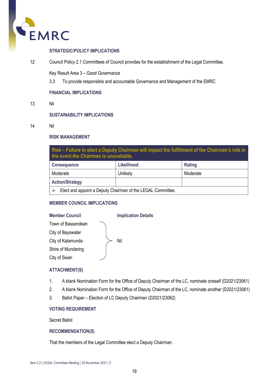

#### **STRATEGIC/POLICY IMPLICATIONS**

12 Council Policy 2.1 Committees of Council provides for the establishment of the Legal Committee.

Key Result Area 3 – Good Governance

3.3 To provide responsible and accountable Governance and Management of the EMRC

#### **FINANCIAL IMPLICATIONS**

13 Nil

#### **SUSTAINABILITY IMPLICATIONS**

14 Nil

#### **RISK MANAGEMENT**

**Risk – Failure to elect a Deputy Chairman will impact the fulfillment of the Chairman's role in the event the Chairman is unavailable.**

| <b>Consequence</b>                                          | Likelihood | Rating   |  |
|-------------------------------------------------------------|------------|----------|--|
| Moderate                                                    | Unlikely   | Moderate |  |
| <b>Action/Strategy</b>                                      |            |          |  |
| Elect and appoint a Deputy Chairman of the LEGAL Committee. |            |          |  |

#### **MEMBER COUNCIL IMPLICATIONS**

#### **Member Council Implication Details** Town of Bassendean Nil City of Bayswater City of Kalamunda Shire of Mundaring City of Swan

#### **ATTACHMENT(S)**

- 1. A blank Nomination Form for the Office of Deputy Chairman of the LC, nominate oneself (D2021/23061)
- 2. A blank Nomination Form for the Office of Deputy Chairman of the LC, nominate another (D2021/23061)
- 3. Ballot Paper Election of LC Deputy Chairman (D2021/23062)

#### **VOTING REQUIREMENT**

Secret Ballot

#### **RECOMMENDATION(S)**

That the members of the Legal Committee elect a Deputy Chairman.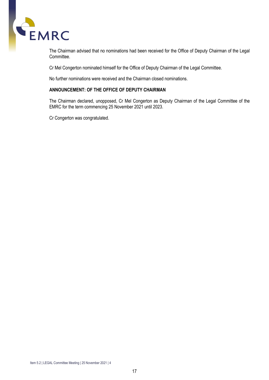

The Chairman advised that no nominations had been received for the Office of Deputy Chairman of the Legal Committee.

Cr Mel Congerton nominated himself for the Office of Deputy Chairman of the Legal Committee.

No further nominations were received and the Chairman closed nominations.

#### **ANNOUNCEMENT: OF THE OFFICE OF DEPUTY CHAIRMAN**

The Chairman declared, unopposed, Cr Mel Congerton as Deputy Chairman of the Legal Committee of the EMRC for the term commencing 25 November 2021 until 2023.

Cr Congerton was congratulated.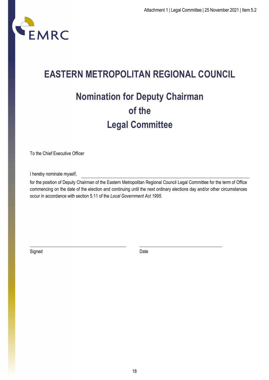

# **EASTERN METROPOLITAN REGIONAL COUNCIL**

# **Nomination for Deputy Chairman of the Legal Committee**

To the Chief Executive Officer

I hereby nominate myself,

for the position of Deputy Chairman of the Eastern Metropolitan Regional Council Legal Committee for the term of Office commencing on the date of the election and continuing until the next ordinary elections day and/or other circumstances occur in accordance with section 5.11 of the *Local Government Act 1995*.

Signed Date **Date**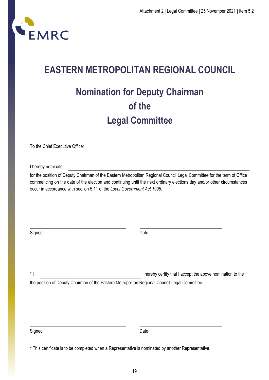

# **EASTERN METROPOLITAN REGIONAL COUNCIL Nomination for Deputy Chairman of the Legal Committee**

To the Chief Executive Officer

I hereby nominate

for the position of Deputy Chairman of the Eastern Metropolitan Regional Council Legal Committee for the term of Office commencing on the date of the election and continuing until the next ordinary elections day and/or other circumstances occur in accordance with section 5.11 of the *Local Government Act 1995*.

Signed **Date** 

\* I hereby certify that I accept the above nomination to the

the position of Deputy Chairman of the Eastern Metropolitan Regional Council Legal Committee.

Signed Date **Date** 

<sup>\*</sup> This certificate is to be completed when a Representative is nominated by another Representative.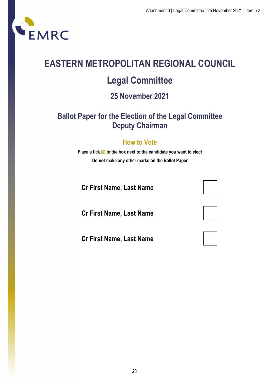

# **EASTERN METROPOLITAN REGIONAL COUNCIL Legal Committee**

# **25 November 2021**

### **Ballot Paper for the Election of the Legal Committee Deputy Chairman**

### **How to Vote**

**Place a tick**  $\mathbf{\nabla}$  **in the box next to the candidate you want to elect Do not make any other marks on the Ballot Paper**

**Cr First Name, Last Name**

**Cr First Name, Last Name**

**Cr First Name, Last Name**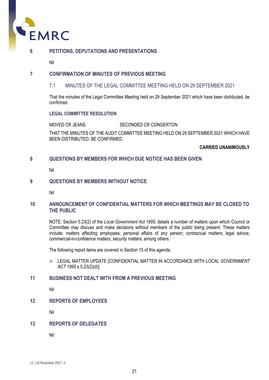

#### **6 PETITIONS, DEPUTATIONS AND PRESENTATIONS**

Nil

#### **7 CONFIRMATION OF MINUTES OF PREVIOUS MEETING**

#### 7.1 MINUTES OF THE LEGAL COMMITTEE MEETING HELD ON 29 SEPTEMBER 2021

That the minutes of the Legal Committee Meeting held on 29 September 2021 which have been distributed, be confirmed.

#### **LEGAL COMMITTEE RESOLUTION**

MOVED CR JEANS SECONDED CR CONGERTON

THAT THE MINUTES OF THE AUDIT COMMITTEE MEETING HELD ON 29 SEPTEMBER 2021 WHICH HAVE BEEN DISTRIBUTED, BE CONFIRMED.

#### **CARRIED UNANIMOUSLY**

#### **8 QUESTIONS BY MEMBERS FOR WHICH DUE NOTICE HAS BEEN GIVEN**

Nil

#### **9 QUESTIONS BY MEMBERS WITHOUT NOTICE**

Nil

#### **10 ANNOUNCEMENT OF CONFIDENTIAL MATTERS FOR WHICH MEETINGS MAY BE CLOSED TO THE PUBLIC**

NOTE: Section 5.23(2) of the *Local Government Act 1995*, details a number of matters upon which Council or Committee may discuss and make decisions without members of the public being present. These matters include: matters affecting employees; personal affairs of any person; contractual matters; legal advice; commercial-in-confidence matters; security matters; among others.

The following report items are covered in Section 15 of this agenda.

 LEGAL MATTER UPDATE [CONFIDENTIAL MATTER IN ACCORDANCE WITH *LOCAL GOVERNMENT ACT 1995* s.5.23(2)(d)]

#### **11 BUSINESS NOT DEALT WITH FROM A PREVIOUS MEETING**

Nil

#### **12 REPORTS OF EMPLOYEES**

Nil

#### **13 REPORTS OF DELEGATES**

Nil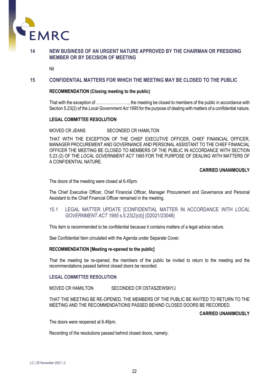

#### **14 NEW BUSINESS OF AN URGENT NATURE APPROVED BY THE CHAIRMAN OR PRESIDING MEMBER OR BY DECISION OF MEETING**

Nil

#### **15 CONFIDENTIAL MATTERS FOR WHICH THE MEETING MAY BE CLOSED TO THE PUBLIC**

#### **RECOMMENDATION (Closing meeting to the public)**

That with the exception of ……………………, the meeting be closed to members of the public in accordance with Section 5.23(2) of the *Local Government Act 1995* for the purpose of dealing with matters of a confidential nature.

#### **LEGAL COMMITTEE RESOLUTION**

MOVED CR JEANS SECONDED CR HAMILTON

THAT WITH THE EXCEPTION OF THE CHIEF EXECUTIVE OFFICER, CHIEF FINANCIAL OFFICER, MANAGER PROCUREMENT AND GOVERNANCE AND PERSONAL ASSISTANT TO THE CHIEF FINANCIAL OFFICER THE MEETING BE CLOSED TO MEMBERS OF THE PUBLIC IN ACCORDANCE WITH SECTION 5.23 (2) OF THE *LOCAL GOVERNMENT ACT 1995* FOR THE PURPOSE OF DEALING WITH MATTERS OF A CONFIDENTIAL NATURE.

#### **CARRIED UNANIMOUSLY**

The doors of the meeting were closed at 6.45pm.

The Chief Executive Officer, Chief Financial Officer, Manager Procurement and Governance and Personal Assistant to the Chief Financial Officer remained in the meeting.

15.1 LEGAL MATTER UPDATE [CONFIDENTIAL MATTER IN ACCORDANCE WITH *LOCAL GOVERNMENT ACT 1995* s.5.23(2)(d)] (D2021/23048)

This item is recommended to be confidential because it contains matters of a legal advice nature.

See Confidential Item circulated with the Agenda under Separate Cover.

#### **RECOMMENDATION [Meeting re-opened to the public]**

That the meeting be re-opened, the members of the public be invited to return to the meeting and the recommendations passed behind closed doors be recorded.

#### **LEGAL COMMITTEE RESOLUTION**

MOVED CR HAMILTON SECONDED CR OSTASZEWSKYJ

THAT THE MEETING BE RE-OPENED, THE MEMBERS OF THE PUBLIC BE INVITED TO RETURN TO THE MEETING AND THE RECOMMENDATIONS PASSED BEHIND CLOSED DOORS BE RECORDED.

#### **CARRIED UNANIMOUSLY**

The doors were reopened at 6.49pm.

Recording of the resolutions passed behind closed doors, namely:

LC | 25 November 2021 | 3